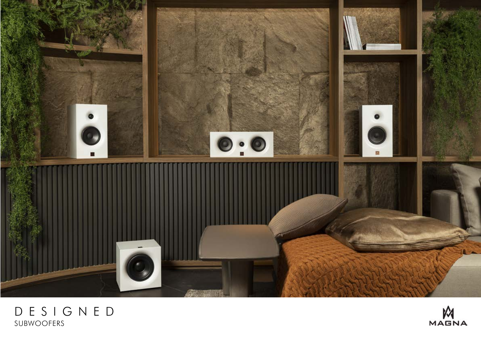

## DESIGNED SUBWOOFERS